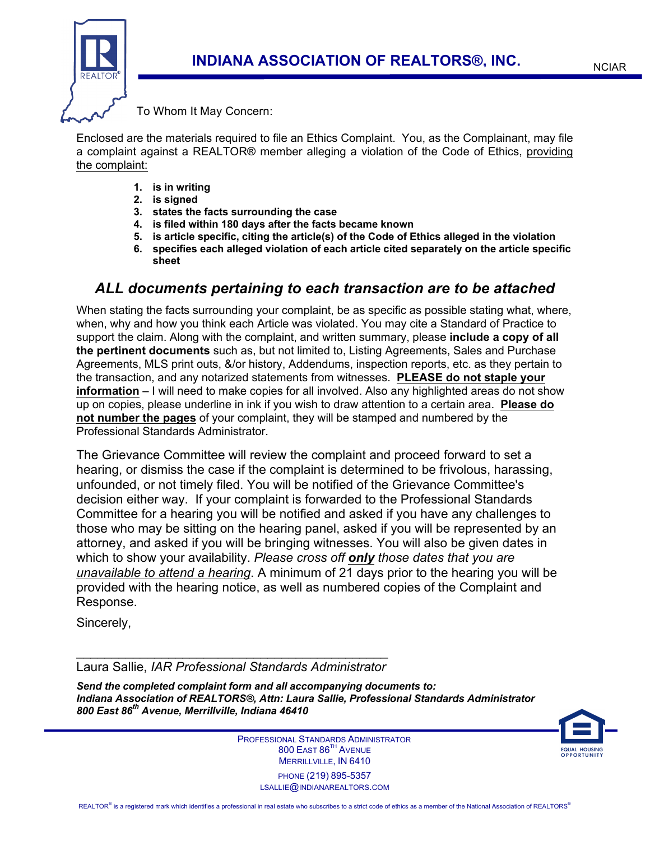

## To Whom It May Concern:

Enclosed are the materials required to file an Ethics Complaint. You, as the Complainant, may file a complaint against a REALTOR® member alleging a violation of the Code of Ethics, providing the complaint:

- **1. is in writing**
- **2. is signed**
- **3. states the facts surrounding the case**
- **4. is filed within 180 days after the facts became known**
- **5. is article specific, citing the article(s) of the Code of Ethics alleged in the violation**
- **6. specifies each alleged violation of each article cited separately on the article specific sheet**

## *ALL documents pertaining to each transaction are to be attached*

When stating the facts surrounding your complaint, be as specific as possible stating what, where, when, why and how you think each Article was violated. You may cite a Standard of Practice to support the claim. Along with the complaint, and written summary, please **include a copy of all the pertinent documents** such as, but not limited to, Listing Agreements, Sales and Purchase Agreements, MLS print outs, &/or history, Addendums, inspection reports, etc. as they pertain to the transaction, and any notarized statements from witnesses. **PLEASE do not staple your information** – I will need to make copies for all involved. Also any highlighted areas do not show up on copies, please underline in ink if you wish to draw attention to a certain area. **Please do not number the pages** of your complaint, they will be stamped and numbered by the Professional Standards Administrator.

The Grievance Committee will review the complaint and proceed forward to set a hearing, or dismiss the case if the complaint is determined to be frivolous, harassing, unfounded, or not timely filed. You will be notified of the Grievance Committee's decision either way. If your complaint is forwarded to the Professional Standards Committee for a hearing you will be notified and asked if you have any challenges to those who may be sitting on the hearing panel, asked if you will be represented by an attorney, and asked if you will be bringing witnesses. You will also be given dates in which to show your availability. *Please cross off only those dates that you are unavailable to attend a hearing*. A minimum of 21 days prior to the hearing you will be provided with the hearing notice, as well as numbered copies of the Complaint and Response.

Sincerely,

 $\mathcal{L}_\text{max}$  and  $\mathcal{L}_\text{max}$  and  $\mathcal{L}_\text{max}$  and  $\mathcal{L}_\text{max}$ Laura Sallie, *IAR Professional Standards Administrator*

*Send the completed complaint form and all accompanying documents to: Indiana Association of REALTORS®, Attn: Laura Sallie, Professional Standards Administrator 800 East 86th Avenue, Merrillville, Indiana 46410*

l



 PROFESSIONAL STANDARDS ADMINISTRATOR 800 EAST 86TH AVENUE MERRILLVILLE, IN 6410 PHONE (219) 895-5357 LSALLIE@INDIANAREALTORS.COM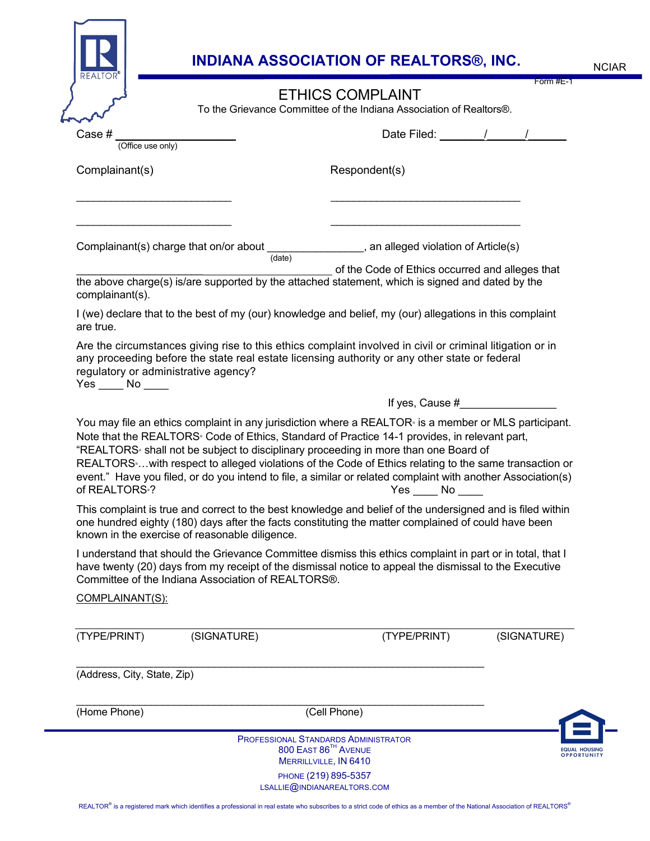| REALTOR                                                   |                                                                                                      | <b>INDIANA ASSOCIATION OF REALTORS®, INC.</b>                                                                                                                                                                                                                                                                                                                                                                                        | Form $#E-1$                                |
|-----------------------------------------------------------|------------------------------------------------------------------------------------------------------|--------------------------------------------------------------------------------------------------------------------------------------------------------------------------------------------------------------------------------------------------------------------------------------------------------------------------------------------------------------------------------------------------------------------------------------|--------------------------------------------|
|                                                           |                                                                                                      | <b>ETHICS COMPLAINT</b><br>To the Grievance Committee of the Indiana Association of Realtors®.                                                                                                                                                                                                                                                                                                                                       |                                            |
|                                                           |                                                                                                      |                                                                                                                                                                                                                                                                                                                                                                                                                                      |                                            |
| Case #<br>(Office use only)                               |                                                                                                      |                                                                                                                                                                                                                                                                                                                                                                                                                                      | Date Filed: 1 / /                          |
| Complainant(s)                                            |                                                                                                      | Respondent(s)                                                                                                                                                                                                                                                                                                                                                                                                                        |                                            |
|                                                           |                                                                                                      |                                                                                                                                                                                                                                                                                                                                                                                                                                      |                                            |
|                                                           |                                                                                                      | Complainant(s) charge that on/or about $\frac{1}{(date)}$ , an alleged violation of Article(s)                                                                                                                                                                                                                                                                                                                                       |                                            |
| complainant(s).                                           |                                                                                                      | of the Code of Ethics occurred and alleges that<br>the above charge(s) is/are supported by the attached statement, which is signed and dated by the                                                                                                                                                                                                                                                                                  |                                            |
| are true.                                                 |                                                                                                      | I (we) declare that to the best of my (our) knowledge and belief, my (our) allegations in this complaint                                                                                                                                                                                                                                                                                                                             |                                            |
| regulatory or administrative agency?<br>$Yes$ No ______   |                                                                                                      | any proceeding before the state real estate licensing authority or any other state or federal<br>If yes, Cause $#$                                                                                                                                                                                                                                                                                                                   |                                            |
|                                                           | You may file an ethics complaint in any jurisdiction where a REALTOR is a member or MLS participant. |                                                                                                                                                                                                                                                                                                                                                                                                                                      |                                            |
|                                                           |                                                                                                      | Note that the REALTORS Code of Ethics, Standard of Practice 14-1 provides, in relevant part,<br>"REALTORS <sup>®</sup> shall not be subject to disciplinary proceeding in more than one Board of<br>REALTORS  with respect to alleged violations of the Code of Ethics relating to the same transaction or<br>event." Have you filed, or do you intend to file, a similar or related complaint with another Association(s)<br>Yes No |                                            |
|                                                           | known in the exercise of reasonable diligence.                                                       | This complaint is true and correct to the best knowledge and belief of the undersigned and is filed within<br>one hundred eighty (180) days after the facts constituting the matter complained of could have been                                                                                                                                                                                                                    |                                            |
|                                                           | Committee of the Indiana Association of REALTORS®.                                                   | I understand that should the Grievance Committee dismiss this ethics complaint in part or in total, that I<br>have twenty (20) days from my receipt of the dismissal notice to appeal the dismissal to the Executive                                                                                                                                                                                                                 |                                            |
|                                                           |                                                                                                      |                                                                                                                                                                                                                                                                                                                                                                                                                                      |                                            |
| COMPLAINANT(S):<br>(TYPE/PRINT)                           | (SIGNATURE)                                                                                          | (TYPE/PRINT)                                                                                                                                                                                                                                                                                                                                                                                                                         | (SIGNATURE)                                |
|                                                           |                                                                                                      |                                                                                                                                                                                                                                                                                                                                                                                                                                      |                                            |
| of REALTORS <sup>®</sup> ?<br>(Address, City, State, Zip) |                                                                                                      |                                                                                                                                                                                                                                                                                                                                                                                                                                      |                                            |
| (Home Phone)                                              |                                                                                                      | (Cell Phone)                                                                                                                                                                                                                                                                                                                                                                                                                         |                                            |
|                                                           |                                                                                                      | <b>PROFESSIONAL STANDARDS ADMINISTRATOR</b><br>800 EAST 86 <sup>TH</sup> AVENUE                                                                                                                                                                                                                                                                                                                                                      | <b>EQUAL HOUSING</b><br><b>OPPORTUNITY</b> |
|                                                           |                                                                                                      | MERRILLVILLE, IN 6410<br>PHONE (219) 895-5357                                                                                                                                                                                                                                                                                                                                                                                        |                                            |